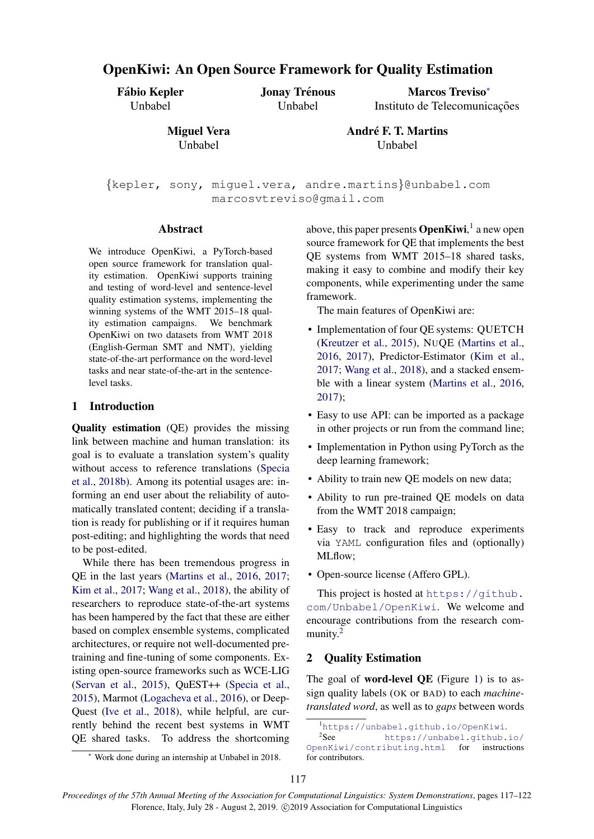# OpenKiwi: An Open Source Framework for Quality Estimation

Fábio Kepler Unbabel

Jonay Trénous Unbabel

Marcos Treviso<sup>∗</sup> Instituto de Telecomunicações

Miguel Vera Unbabel

André F. T. Martins Unbabel

{kepler, sony, miguel.vera, andre.martins}@unbabel.com marcosvtreviso@gmail.com

## Abstract

We introduce OpenKiwi, a PyTorch-based open source framework for translation quality estimation. OpenKiwi supports training and testing of word-level and sentence-level quality estimation systems, implementing the winning systems of the WMT 2015–18 quality estimation campaigns. We benchmark OpenKiwi on two datasets from WMT 2018 (English-German SMT and NMT), yielding state-of-the-art performance on the word-level tasks and near state-of-the-art in the sentencelevel tasks.

## 1 Introduction

Quality estimation (QE) provides the missing link between machine and human translation: its goal is to evaluate a translation system's quality without access to reference translations [\(Specia](#page-5-0) [et al.,](#page-5-0) [2018b\)](#page-5-0). Among its potential usages are: informing an end user about the reliability of automatically translated content; deciding if a translation is ready for publishing or if it requires human post-editing; and highlighting the words that need to be post-edited.

While there has been tremendous progress in QE in the last years [\(Martins et al.,](#page-5-1) [2016,](#page-5-1) [2017;](#page-5-2) [Kim et al.,](#page-5-3) [2017;](#page-5-3) [Wang et al.,](#page-5-4) [2018\)](#page-5-4), the ability of researchers to reproduce state-of-the-art systems has been hampered by the fact that these are either based on complex ensemble systems, complicated architectures, or require not well-documented pretraining and fine-tuning of some components. Existing open-source frameworks such as WCE-LIG [\(Servan et al.,](#page-5-5) [2015\)](#page-5-5), QuEST++ [\(Specia et al.,](#page-5-6) [2015\)](#page-5-6), Marmot [\(Logacheva et al.,](#page-5-7) [2016\)](#page-5-7), or Deep-Quest [\(Ive et al.,](#page-5-8) [2018\)](#page-5-8), while helpful, are currently behind the recent best systems in WMT QE shared tasks. To address the shortcoming

above, this paper presents **OpenKiwi**,<sup>[1](#page-0-0)</sup> a new open source framework for QE that implements the best QE systems from WMT 2015–18 shared tasks, making it easy to combine and modify their key components, while experimenting under the same framework.

The main features of OpenKiwi are:

- Implementation of four QE systems: QUETCH [\(Kreutzer et al.,](#page-5-9) [2015\)](#page-5-9), NUQE [\(Martins et al.,](#page-5-1) [2016,](#page-5-1) [2017\)](#page-5-2), Predictor-Estimator [\(Kim et al.,](#page-5-3) [2017;](#page-5-3) [Wang et al.,](#page-5-4) [2018\)](#page-5-4), and a stacked ensemble with a linear system [\(Martins et al.,](#page-5-1) [2016,](#page-5-1) [2017\)](#page-5-2);
- Easy to use API: can be imported as a package in other projects or run from the command line;
- Implementation in Python using PyTorch as the deep learning framework;
- Ability to train new QE models on new data;
- Ability to run pre-trained QE models on data from the WMT 2018 campaign;
- Easy to track and reproduce experiments via YAML configuration files and (optionally) MLflow;
- Open-source license (Affero GPL).

This project is hosted at [https://github.](https://github.com/Unbabel/OpenKiwi) [com/Unbabel/OpenKiwi](https://github.com/Unbabel/OpenKiwi). We welcome and encourage contributions from the research com-munity.<sup>[2](#page-0-1)</sup>

# 2 Quality Estimation

The goal of **word-level QE** (Figure [1\)](#page-1-0) is to assign quality labels (OK or BAD) to each *machinetranslated word*, as well as to *gaps* between words

<span id="page-0-1"></span><span id="page-0-0"></span><sup>1</sup><https://unbabel.github.io/OpenKiwi>.

 $^2\mathrm{See}$ [https://unbabel.github.io/](https://unbabel.github.io/OpenKiwi/contributing.html) [OpenKiwi/contributing.html](https://unbabel.github.io/OpenKiwi/contributing.html) for instructions for contributors.

<sup>∗</sup> Work done during an internship at Unbabel in 2018.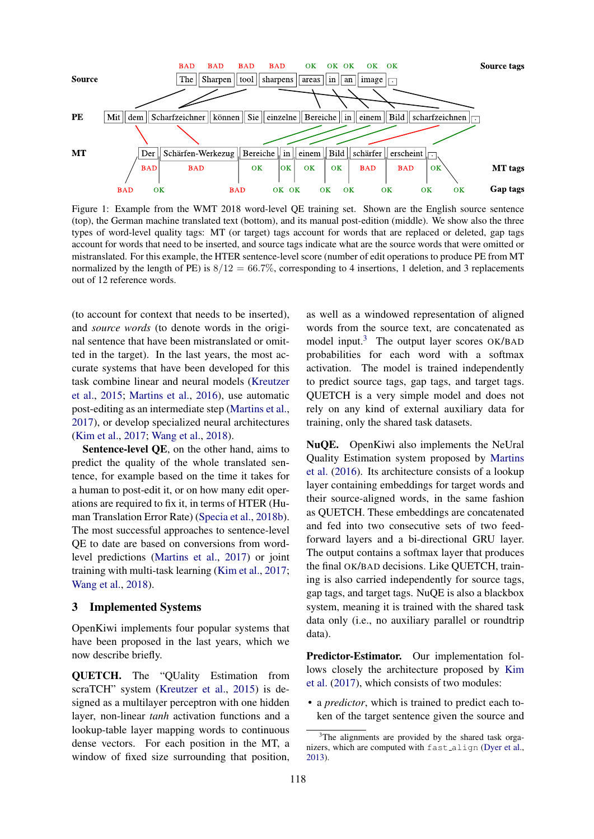<span id="page-1-0"></span>

Figure 1: Example from the WMT 2018 word-level QE training set. Shown are the English source sentence (top), the German machine translated text (bottom), and its manual post-edition (middle). We show also the three types of word-level quality tags: MT (or target) tags account for words that are replaced or deleted, gap tags account for words that need to be inserted, and source tags indicate what are the source words that were omitted or mistranslated. For this example, the HTER sentence-level score (number of edit operations to produce PE from MT normalized by the length of PE) is  $8/12 = 66.7\%$ , corresponding to 4 insertions, 1 deletion, and 3 replacements out of 12 reference words.

(to account for context that needs to be inserted), and *source words* (to denote words in the original sentence that have been mistranslated or omitted in the target). In the last years, the most accurate systems that have been developed for this task combine linear and neural models [\(Kreutzer](#page-5-9) [et al.,](#page-5-9) [2015;](#page-5-9) [Martins et al.,](#page-5-1) [2016\)](#page-5-1), use automatic post-editing as an intermediate step [\(Martins et al.,](#page-5-2) [2017\)](#page-5-2), or develop specialized neural architectures [\(Kim et al.,](#page-5-3) [2017;](#page-5-3) [Wang et al.,](#page-5-4) [2018\)](#page-5-4).

Sentence-level QE, on the other hand, aims to predict the quality of the whole translated sentence, for example based on the time it takes for a human to post-edit it, or on how many edit operations are required to fix it, in terms of HTER (Human Translation Error Rate) [\(Specia et al.,](#page-5-0) [2018b\)](#page-5-0). The most successful approaches to sentence-level QE to date are based on conversions from wordlevel predictions [\(Martins et al.,](#page-5-2) [2017\)](#page-5-2) or joint training with multi-task learning [\(Kim et al.,](#page-5-3) [2017;](#page-5-3) [Wang et al.,](#page-5-4) [2018\)](#page-5-4).

## 3 Implemented Systems

OpenKiwi implements four popular systems that have been proposed in the last years, which we now describe briefly.

QUETCH. The "QUality Estimation from scraTCH" system [\(Kreutzer et al.,](#page-5-9) [2015\)](#page-5-9) is designed as a multilayer perceptron with one hidden layer, non-linear *tanh* activation functions and a lookup-table layer mapping words to continuous dense vectors. For each position in the MT, a window of fixed size surrounding that position,

as well as a windowed representation of aligned words from the source text, are concatenated as model input. $3$  The output layer scores OK/BAD probabilities for each word with a softmax activation. The model is trained independently to predict source tags, gap tags, and target tags. QUETCH is a very simple model and does not rely on any kind of external auxiliary data for training, only the shared task datasets.

NuQE. OpenKiwi also implements the NeUral Quality Estimation system proposed by [Martins](#page-5-1) [et al.](#page-5-1) [\(2016\)](#page-5-1). Its architecture consists of a lookup layer containing embeddings for target words and their source-aligned words, in the same fashion as QUETCH. These embeddings are concatenated and fed into two consecutive sets of two feedforward layers and a bi-directional GRU layer. The output contains a softmax layer that produces the final OK/BAD decisions. Like QUETCH, training is also carried independently for source tags, gap tags, and target tags. NuQE is also a blackbox system, meaning it is trained with the shared task data only (i.e., no auxiliary parallel or roundtrip data).

Predictor-Estimator. Our implementation follows closely the architecture proposed by [Kim](#page-5-3) [et al.](#page-5-3) [\(2017\)](#page-5-3), which consists of two modules:

• a *predictor*, which is trained to predict each token of the target sentence given the source and

<span id="page-1-1"></span><sup>&</sup>lt;sup>3</sup>The alignments are provided by the shared task organizers, which are computed with fast align [\(Dyer et al.,](#page-5-10) [2013\)](#page-5-10).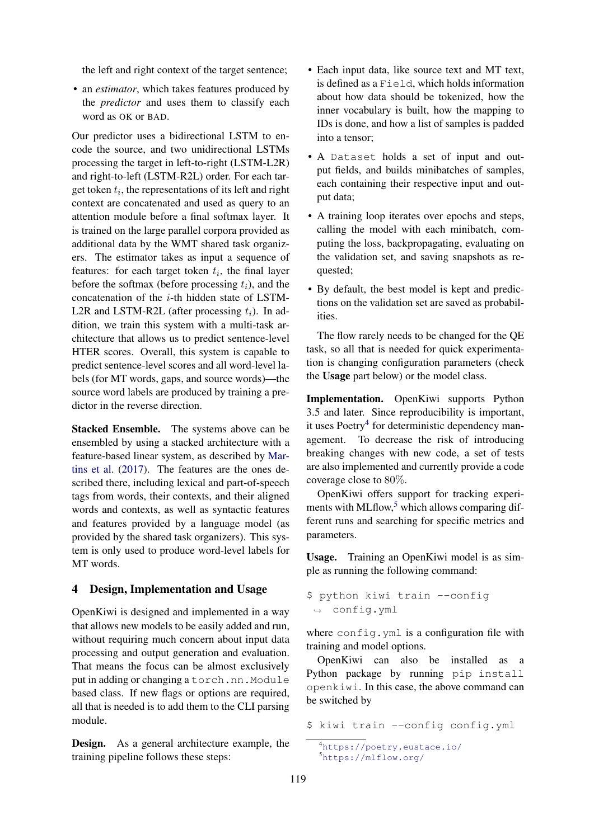the left and right context of the target sentence;

• an *estimator*, which takes features produced by the *predictor* and uses them to classify each word as OK or BAD.

Our predictor uses a bidirectional LSTM to encode the source, and two unidirectional LSTMs processing the target in left-to-right (LSTM-L2R) and right-to-left (LSTM-R2L) order. For each target token  $t_i$ , the representations of its left and right context are concatenated and used as query to an attention module before a final softmax layer. It is trained on the large parallel corpora provided as additional data by the WMT shared task organizers. The estimator takes as input a sequence of features: for each target token  $t_i$ , the final layer before the softmax (before processing  $t_i$ ), and the concatenation of the i-th hidden state of LSTM-L2R and LSTM-R2L (after processing  $t_i$ ). In addition, we train this system with a multi-task architecture that allows us to predict sentence-level HTER scores. Overall, this system is capable to predict sentence-level scores and all word-level labels (for MT words, gaps, and source words)—the source word labels are produced by training a predictor in the reverse direction.

Stacked Ensemble. The systems above can be ensembled by using a stacked architecture with a feature-based linear system, as described by [Mar](#page-5-2)[tins et al.](#page-5-2) [\(2017\)](#page-5-2). The features are the ones described there, including lexical and part-of-speech tags from words, their contexts, and their aligned words and contexts, as well as syntactic features and features provided by a language model (as provided by the shared task organizers). This system is only used to produce word-level labels for MT words.

## 4 Design, Implementation and Usage

OpenKiwi is designed and implemented in a way that allows new models to be easily added and run, without requiring much concern about input data processing and output generation and evaluation. That means the focus can be almost exclusively put in adding or changing a torch.nn.Module based class. If new flags or options are required, all that is needed is to add them to the CLI parsing module.

Design. As a general architecture example, the training pipeline follows these steps:

- Each input data, like source text and MT text, is defined as a Field, which holds information about how data should be tokenized, how the inner vocabulary is built, how the mapping to IDs is done, and how a list of samples is padded into a tensor;
- A Dataset holds a set of input and output fields, and builds minibatches of samples, each containing their respective input and output data;
- A training loop iterates over epochs and steps, calling the model with each minibatch, computing the loss, backpropagating, evaluating on the validation set, and saving snapshots as requested;
- By default, the best model is kept and predictions on the validation set are saved as probabilities.

The flow rarely needs to be changed for the QE task, so all that is needed for quick experimentation is changing configuration parameters (check the Usage part below) or the model class.

Implementation. OpenKiwi supports Python 3.5 and later. Since reproducibility is important, it uses Poetry<sup>[4](#page-2-0)</sup> for deterministic dependency management. To decrease the risk of introducing breaking changes with new code, a set of tests are also implemented and currently provide a code coverage close to 80%.

OpenKiwi offers support for tracking experiments with MLflow, $5$  which allows comparing different runs and searching for specific metrics and parameters.

Usage. Training an OpenKiwi model is as simple as running the following command:

```
$ python kiwi train --config
,→ config.yml
```
where config.yml is a configuration file with training and model options.

OpenKiwi can also be installed as a Python package by running pip install openkiwi. In this case, the above command can be switched by

\$ kiwi train --config config.yml

```
4https://poetry.eustace.io/
5https://mlflow.org/
```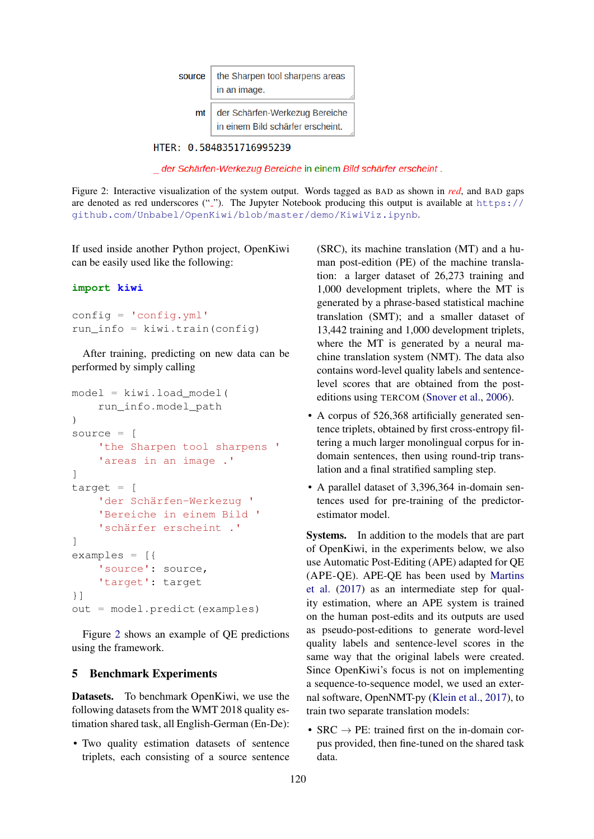<span id="page-3-0"></span>

| source | the Sharpen tool sharpens areas<br>in an image.                     |  |  |  |  |  |  |  |
|--------|---------------------------------------------------------------------|--|--|--|--|--|--|--|
| mt     | der Schärfen-Werkezug Bereiche<br>in einem Bild schärfer erscheint. |  |  |  |  |  |  |  |

HTER: 0.5848351716995239

\_ der Schärfen-Werkezug Bereiche in einem Bild schärfer erscheint.

Figure 2: Interactive visualization of the system output. Words tagged as BAD as shown in *red*, and BAD gaps are denoted as red underscores  $("$ *"*). The Jupyter Notebook producing this output is available at [https://](https://github.com/Unbabel/OpenKiwi/blob/master/demo/KiwiViz.ipynb) [github.com/Unbabel/OpenKiwi/blob/master/demo/KiwiViz.ipynb](https://github.com/Unbabel/OpenKiwi/blob/master/demo/KiwiViz.ipynb).

If used inside another Python project, OpenKiwi can be easily used like the following:

## **import kiwi**

config = 'config.yml' run info = kiwi.train(config)

After training, predicting on new data can be performed by simply calling

```
model = kiwi.load_model(
    run_info.model_path
)
source = [
    'the Sharpen tool sharpens '
    'areas in an image .'
]
target = [
    'der Schärfen-Werkezug '
    'Bereiche in einem Bild '
    'schärfer erscheint .'
]
examples = ['source': source,
    'target': target
}]
out = model.predict(examples)
```
Figure [2](#page-3-0) shows an example of QE predictions using the framework.

## 5 Benchmark Experiments

Datasets. To benchmark OpenKiwi, we use the following datasets from the WMT 2018 quality estimation shared task, all English-German (En-De):

• Two quality estimation datasets of sentence triplets, each consisting of a source sentence (SRC), its machine translation (MT) and a human post-edition (PE) of the machine translation: a larger dataset of 26,273 training and 1,000 development triplets, where the MT is generated by a phrase-based statistical machine translation (SMT); and a smaller dataset of 13,442 training and 1,000 development triplets, where the MT is generated by a neural machine translation system (NMT). The data also contains word-level quality labels and sentencelevel scores that are obtained from the posteditions using TERCOM [\(Snover et al.,](#page-5-11) [2006\)](#page-5-11).

- A corpus of 526,368 artificially generated sentence triplets, obtained by first cross-entropy filtering a much larger monolingual corpus for indomain sentences, then using round-trip translation and a final stratified sampling step.
- A parallel dataset of 3,396,364 in-domain sentences used for pre-training of the predictorestimator model.

Systems. In addition to the models that are part of OpenKiwi, in the experiments below, we also use Automatic Post-Editing (APE) adapted for QE (APE-QE). APE-QE has been used by [Martins](#page-5-2) [et al.](#page-5-2) [\(2017\)](#page-5-2) as an intermediate step for quality estimation, where an APE system is trained on the human post-edits and its outputs are used as pseudo-post-editions to generate word-level quality labels and sentence-level scores in the same way that the original labels were created. Since OpenKiwi's focus is not on implementing a sequence-to-sequence model, we used an external software, OpenNMT-py [\(Klein et al.,](#page-5-12) [2017\)](#page-5-12), to train two separate translation models:

•  $SRC \rightarrow PE$ : trained first on the in-domain corpus provided, then fine-tuned on the shared task data.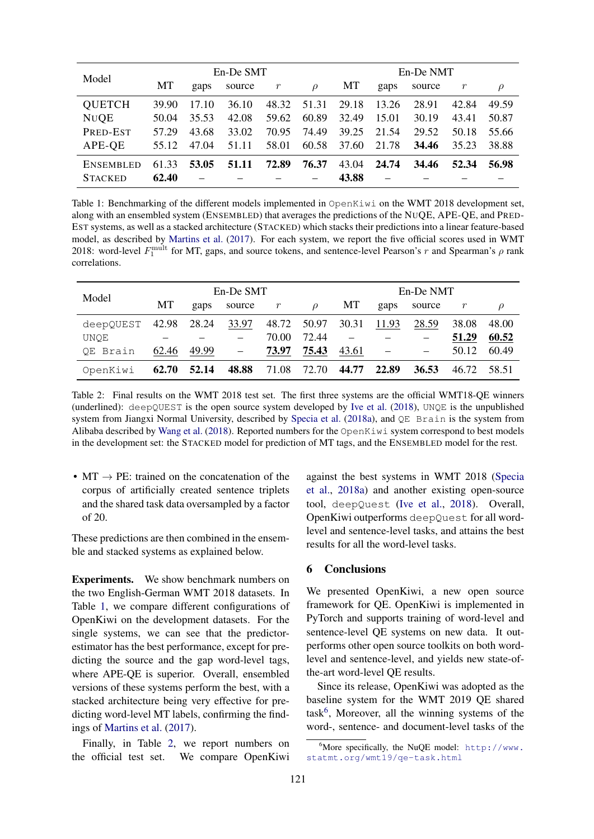<span id="page-4-0"></span>

| Model            | En-De SMT |       |        |       |               | En-De NMT |       |        |       |        |
|------------------|-----------|-------|--------|-------|---------------|-----------|-------|--------|-------|--------|
|                  | МT        | gaps  | source | r     | $\mathcal{D}$ | МT        | gaps  | source | r     | $\rho$ |
| <b>QUETCH</b>    | 39.90     | 17.10 | 36.10  | 48.32 | 51.31         | 29.18     | 13.26 | 28.91  | 42.84 | 49.59  |
| <b>NUQE</b>      | 50.04     | 35.53 | 42.08  | 59.62 | 60.89         | 32.49     | 15.01 | 30.19  | 43.41 | 50.87  |
| PRED-EST         | 57.29     | 43.68 | 33.02  | 70.95 | 74.49         | 39.25     | 21.54 | 29.52  | 50.18 | 55.66  |
| APE-QE           | 55.12     | 47.04 | 51.11  | 58.01 | 60.58         | 37.60     | 21.78 | 34.46  | 35.23 | 38.88  |
| <b>ENSEMBLED</b> | 61.33     | 53.05 | 51.11  | 72.89 | 76.37         | 43.04     | 24.74 | 34.46  | 52.34 | 56.98  |
| <b>STACKED</b>   | 62.40     |       |        |       |               | 43.88     |       |        |       |        |

Table 1: Benchmarking of the different models implemented in OpenKiwi on the WMT 2018 development set, along with an ensembled system (ENSEMBLED) that averages the predictions of the NUQE, APE-QE, and PRED-EST systems, as well as a stacked architecture (STACKED) which stacks their predictions into a linear feature-based model, as described by [Martins et al.](#page-5-2) [\(2017\)](#page-5-2). For each system, we report the five official scores used in WMT 2018: word-level  $F_1^{\text{mult}}$  for MT, gaps, and source tokens, and sentence-level Pearson's r and Spearman's  $\rho$  rank correlations.

<span id="page-4-1"></span>

| Model                     | En-De SMT |           |                          |           |               | En-De NMT |       |        |       |        |
|---------------------------|-----------|-----------|--------------------------|-----------|---------------|-----------|-------|--------|-------|--------|
|                           | МT        | gaps      | source                   | $r_{\rm}$ | $\mathcal{Q}$ | МT        | gaps  | source |       | $\rho$ |
| deepQUEST $42.98$ $28.24$ |           |           | 33.97                    |           | 48.72 50.97   | 30.31     | 11.93 | 28.59  | 38.08 | 48.00  |
| UNOE                      |           |           |                          | 70.00     | 72.44         |           |       |        | 51.29 | 60.52  |
| QE Brain                  | 62.46     | $49.99 -$ |                          | 73.97     | 75.43         | 43.61     |       |        | 50.12 | 60.49  |
| OpenKiwi                  | 62.70     | 52.14     | <b>48.88</b> 71.08 72.70 |           |               | 44.77     | 22.89 | 36.53  | 46.72 | 58.51  |

Table 2: Final results on the WMT 2018 test set. The first three systems are the official WMT18-QE winners (underlined): deepQUEST is the open source system developed by [Ive et al.](#page-5-8) [\(2018\)](#page-5-8), UNQE is the unpublished system from Jiangxi Normal University, described by [Specia et al.](#page-5-13) [\(2018a\)](#page-5-13), and QE Brain is the system from Alibaba described by [Wang et al.](#page-5-4) [\(2018\)](#page-5-4). Reported numbers for the OpenKiwi system correspond to best models in the development set: the STACKED model for prediction of MT tags, and the ENSEMBLED model for the rest.

•  $MT \rightarrow PE$ : trained on the concatenation of the corpus of artificially created sentence triplets and the shared task data oversampled by a factor of 20.

These predictions are then combined in the ensemble and stacked systems as explained below.

Experiments. We show benchmark numbers on the two English-German WMT 2018 datasets. In Table [1,](#page-4-0) we compare different configurations of OpenKiwi on the development datasets. For the single systems, we can see that the predictorestimator has the best performance, except for predicting the source and the gap word-level tags, where APE-QE is superior. Overall, ensembled versions of these systems perform the best, with a stacked architecture being very effective for predicting word-level MT labels, confirming the findings of [Martins et al.](#page-5-2) [\(2017\)](#page-5-2).

Finally, in Table [2,](#page-4-1) we report numbers on the official test set. We compare OpenKiwi

against the best systems in WMT 2018 [\(Specia](#page-5-13) [et al.,](#page-5-13) [2018a\)](#page-5-13) and another existing open-source tool, deepQuest [\(Ive et al.,](#page-5-8) [2018\)](#page-5-8). Overall, OpenKiwi outperforms deepQuest for all wordlevel and sentence-level tasks, and attains the best results for all the word-level tasks.

# 6 Conclusions

We presented OpenKiwi, a new open source framework for QE. OpenKiwi is implemented in PyTorch and supports training of word-level and sentence-level QE systems on new data. It outperforms other open source toolkits on both wordlevel and sentence-level, and yields new state-ofthe-art word-level QE results.

Since its release, OpenKiwi was adopted as the baseline system for the WMT 2019 QE shared task<sup>[6](#page-4-2)</sup>, Moreover, all the winning systems of the word-, sentence- and document-level tasks of the

<span id="page-4-2"></span> $6$ More specifically, the NuQE model: [http://www.](http://www.statmt.org/wmt19/qe-task.html) [statmt.org/wmt19/qe-task.html](http://www.statmt.org/wmt19/qe-task.html)